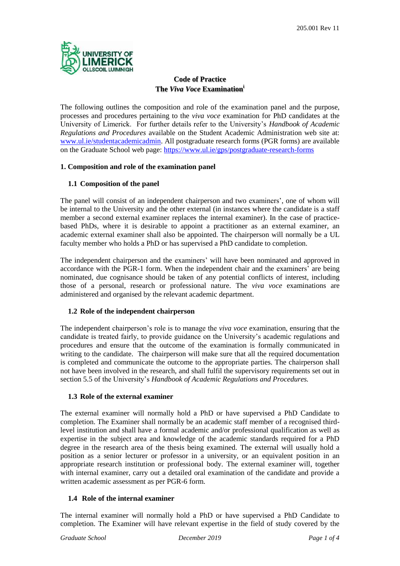

# **Code of Practice The** *Viva Voce* **Examination<sup>i</sup>**

The following outlines the composition and role of the examination panel and the purpose, processes and procedures pertaining to the *viva voce* examination for PhD candidates at the University of Limerick. For further details refer to the University's *Handbook of Academic Regulations and Procedures* available on the Student Academic Administration web site at: [www.ul.ie/studentacademicadmin.](http://www.ul.ie/studentacademicadmin) All postgraduate research forms (PGR forms) are available on the Graduate School web page:<https://www.ul.ie/gps/postgraduate-research-forms>

### **1. Composition and role of the examination panel**

### **1.1 Composition of the panel**

The panel will consist of an independent chairperson and two examiners', one of whom will be internal to the University and the other external (in instances where the candidate is a staff member a second external examiner replaces the internal examiner). In the case of practicebased PhDs, where it is desirable to appoint a practitioner as an external examiner, an academic external examiner shall also be appointed. The chairperson will normally be a UL faculty member who holds a PhD or has supervised a PhD candidate to completion.

The independent chairperson and the examiners' will have been nominated and approved in accordance with the PGR-1 form. When the independent chair and the examiners' are being nominated, due cognisance should be taken of any potential conflicts of interest, including those of a personal, research or professional nature. The *viva voce* examinations are administered and organised by the relevant academic department.

### **1.2 Role of the independent chairperson**

The independent chairperson's role is to manage the *viva voce* examination, ensuring that the candidate is treated fairly, to provide guidance on the University's academic regulations and procedures and ensure that the outcome of the examination is formally communicated in writing to the candidate. The chairperson will make sure that all the required documentation is completed and communicate the outcome to the appropriate parties. The chairperson shall not have been involved in the research, and shall fulfil the supervisory requirements set out in section 5.5 of the University's *Handbook of Academic Regulations and Procedures.*

### **1.3 Role of the external examiner**

The external examiner will normally hold a PhD or have supervised a PhD Candidate to completion. The Examiner shall normally be an academic staff member of a recognised thirdlevel institution and shall have a formal academic and/or professional qualification as well as expertise in the subject area and knowledge of the academic standards required for a PhD degree in the research area of the thesis being examined. The external will usually hold a position as a senior lecturer or professor in a university, or an equivalent position in an appropriate research institution or professional body. The external examiner will, together with internal examiner, carry out a detailed oral examination of the candidate and provide a written academic assessment as per PGR-6 form.

### **1.4 Role of the internal examiner**

The internal examiner will normally hold a PhD or have supervised a PhD Candidate to completion. The Examiner will have relevant expertise in the field of study covered by the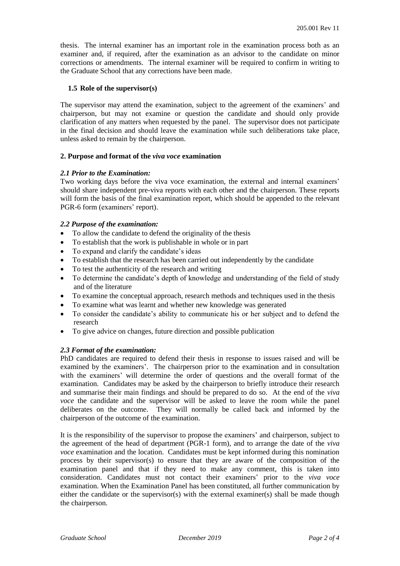thesis. The internal examiner has an important role in the examination process both as an examiner and, if required, after the examination as an advisor to the candidate on minor corrections or amendments. The internal examiner will be required to confirm in writing to the Graduate School that any corrections have been made.

#### **1.5 Role of the supervisor(s)**

The supervisor may attend the examination, subject to the agreement of the examiners' and chairperson, but may not examine or question the candidate and should only provide clarification of any matters when requested by the panel. The supervisor does not participate in the final decision and should leave the examination while such deliberations take place, unless asked to remain by the chairperson.

#### **2. Purpose and format of the** *viva voce* **examination**

#### *2.1 Prior to the Examination:*

Two working days before the viva voce examination, the external and internal examiners' should share independent pre-viva reports with each other and the chairperson. These reports will form the basis of the final examination report, which should be appended to the relevant PGR-6 form (examiners' report).

#### *2.2 Purpose of the examination:*

- To allow the candidate to defend the originality of the thesis
- To establish that the work is publishable in whole or in part
- To expand and clarify the candidate's ideas
- To establish that the research has been carried out independently by the candidate
- To test the authenticity of the research and writing
- To determine the candidate's depth of knowledge and understanding of the field of study and of the literature
- To examine the conceptual approach, research methods and techniques used in the thesis
- To examine what was learnt and whether new knowledge was generated
- To consider the candidate's ability to communicate his or her subject and to defend the research
- To give advice on changes, future direction and possible publication

### *2.3 Format of the examination:*

PhD candidates are required to defend their thesis in response to issues raised and will be examined by the examiners'. The chairperson prior to the examination and in consultation with the examiners' will determine the order of questions and the overall format of the examination. Candidates may be asked by the chairperson to briefly introduce their research and summarise their main findings and should be prepared to do so. At the end of the *viva voce* the candidate and the supervisor will be asked to leave the room while the panel deliberates on the outcome. They will normally be called back and informed by the chairperson of the outcome of the examination.

It is the responsibility of the supervisor to propose the examiners' and chairperson, subject to the agreement of the head of department (PGR-1 form), and to arrange the date of the *viva voce* examination and the location. Candidates must be kept informed during this nomination process by their supervisor(s) to ensure that they are aware of the composition of the examination panel and that if they need to make any comment, this is taken into consideration. Candidates must not contact their examiners' prior to the *viva voce* examination. When the Examination Panel has been constituted, all further communication by either the candidate or the supervisor(s) with the external examiner(s) shall be made though the chairperson.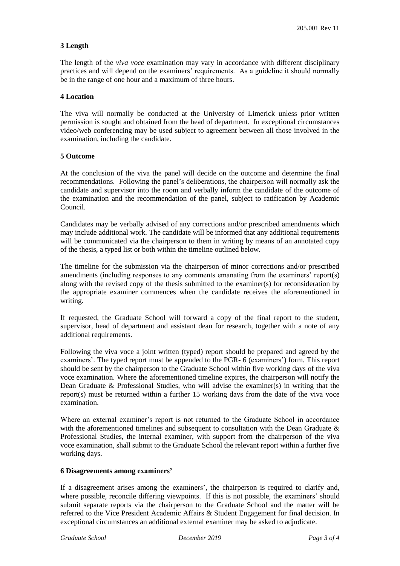## **3 Length**

The length of the *viva voce* examination may vary in accordance with different disciplinary practices and will depend on the examiners' requirements. As a guideline it should normally be in the range of one hour and a maximum of three hours.

#### **4 Location**

The viva will normally be conducted at the University of Limerick unless prior written permission is sought and obtained from the head of department. In exceptional circumstances video/web conferencing may be used subject to agreement between all those involved in the examination, including the candidate.

#### **5 Outcome**

At the conclusion of the viva the panel will decide on the outcome and determine the final recommendations. Following the panel's deliberations, the chairperson will normally ask the candidate and supervisor into the room and verbally inform the candidate of the outcome of the examination and the recommendation of the panel, subject to ratification by Academic Council.

Candidates may be verbally advised of any corrections and/or prescribed amendments which may include additional work. The candidate will be informed that any additional requirements will be communicated via the chairperson to them in writing by means of an annotated copy of the thesis, a typed list or both within the timeline outlined below.

The timeline for the submission via the chairperson of minor corrections and/or prescribed amendments (including responses to any comments emanating from the examiners' report(s) along with the revised copy of the thesis submitted to the examiner(s) for reconsideration by the appropriate examiner commences when the candidate receives the aforementioned in writing.

If requested, the Graduate School will forward a copy of the final report to the student, supervisor, head of department and assistant dean for research, together with a note of any additional requirements.

Following the viva voce a joint written (typed) report should be prepared and agreed by the examiners'. The typed report must be appended to the PGR- 6 (examiners') form. This report should be sent by the chairperson to the Graduate School within five working days of the viva voce examination. Where the aforementioned timeline expires, the chairperson will notify the Dean Graduate & Professional Studies, who will advise the examiner(s) in writing that the report(s) must be returned within a further 15 working days from the date of the viva voce examination.

Where an external examiner's report is not returned to the Graduate School in accordance with the aforementioned timelines and subsequent to consultation with the Dean Graduate & Professional Studies, the internal examiner, with support from the chairperson of the viva voce examination, shall submit to the Graduate School the relevant report within a further five working days.

### **6 Disagreements among examiners'**

If a disagreement arises among the examiners', the chairperson is required to clarify and, where possible, reconcile differing viewpoints. If this is not possible, the examiners' should submit separate reports via the chairperson to the Graduate School and the matter will be referred to the Vice President Academic Affairs & Student Engagement for final decision. In exceptional circumstances an additional external examiner may be asked to adjudicate.